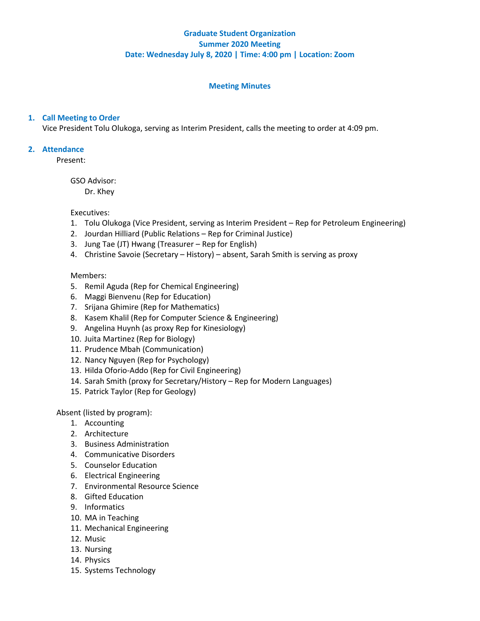# **Graduate Student Organization Summer 2020 Meeting Date: Wednesday July 8, 2020 | Time: 4:00 pm | Location: Zoom**

# **Meeting Minutes**

# **1. Call Meeting to Order**

Vice President Tolu Olukoga, serving as Interim President, calls the meeting to order at 4:09 pm.

## **2. Attendance**

Present:

GSO Advisor:

Dr. Khey

## Executives:

- 1. Tolu Olukoga (Vice President, serving as Interim President Rep for Petroleum Engineering)
- 2. Jourdan Hilliard (Public Relations Rep for Criminal Justice)
- 3. Jung Tae (JT) Hwang (Treasurer Rep for English)
- 4. Christine Savoie (Secretary History) absent, Sarah Smith is serving as proxy

## Members:

- 5. Remil Aguda (Rep for Chemical Engineering)
- 6. Maggi Bienvenu (Rep for Education)
- 7. Srijana Ghimire (Rep for Mathematics)
- 8. Kasem Khalil (Rep for Computer Science & Engineering)
- 9. Angelina Huynh (as proxy Rep for Kinesiology)
- 10. Juita Martinez (Rep for Biology)
- 11. Prudence Mbah (Communication)
- 12. Nancy Nguyen (Rep for Psychology)
- 13. Hilda Oforio-Addo (Rep for Civil Engineering)
- 14. Sarah Smith (proxy for Secretary/History Rep for Modern Languages)
- 15. Patrick Taylor (Rep for Geology)

Absent (listed by program):

- 1. Accounting
- 2. Architecture
- 3. Business Administration
- 4. Communicative Disorders
- 5. Counselor Education
- 6. Electrical Engineering
- 7. Environmental Resource Science
- 8. Gifted Education
- 9. Informatics
- 10. MA in Teaching
- 11. Mechanical Engineering
- 12. Music
- 13. Nursing
- 14. Physics
- 15. Systems Technology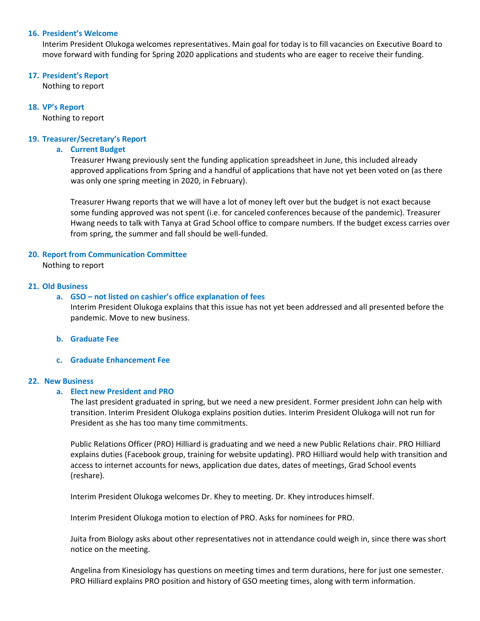#### **16. President's Welcome**

Interim President Olukoga welcomes representatives. Main goal for today is to fill vacancies on Executive Board to move forward with funding for Spring 2020 applications and students who are eager to receive their funding.

#### **17. President's Report**

Nothing to report

#### **18. VP's Report**

Nothing to report

#### **19. Treasurer/Secretary's Report**

#### **a. Current Budget**

Treasurer Hwang previously sent the funding application spreadsheet in June, this included already approved applications from Spring and a handful of applications that have not yet been voted on (as there was only one spring meeting in 2020, in February).

Treasurer Hwang reports that we will have a lot of money left over but the budget is not exact because some funding approved was not spent (i.e. for canceled conferences because of the pandemic). Treasurer Hwang needs to talk with Tanya at Grad School office to compare numbers. If the budget excess carries over from spring, the summer and fall should be well-funded.

## **20. Report from Communication Committee**

Nothing to report

## **21. Old Business**

## **a. GSO – not listed on cashier's office explanation of fees**

Interim President Olukoga explains that this issue has not yet been addressed and all presented before the pandemic. Move to new business.

- **b. Graduate Fee**
- **c. Graduate Enhancement Fee**

#### **22. New Business**

# **a. Elect new President and PRO**

The last president graduated in spring, but we need a new president. Former president John can help with transition. Interim President Olukoga explains position duties. Interim President Olukoga will not run for President as she has too many time commitments.

Public Relations Officer (PRO) Hilliard is graduating and we need a new Public Relations chair. PRO Hilliard explains duties (Facebook group, training for website updating). PRO Hilliard would help with transition and access to internet accounts for news, application due dates, dates of meetings, Grad School events (reshare).

Interim President Olukoga welcomes Dr. Khey to meeting. Dr. Khey introduces himself.

Interim President Olukoga motion to election of PRO. Asks for nominees for PRO.

Juita from Biology asks about other representatives not in attendance could weigh in, since there was short notice on the meeting.

Angelina from Kinesiology has questions on meeting times and term durations, here for just one semester. PRO Hilliard explains PRO position and history of GSO meeting times, along with term information.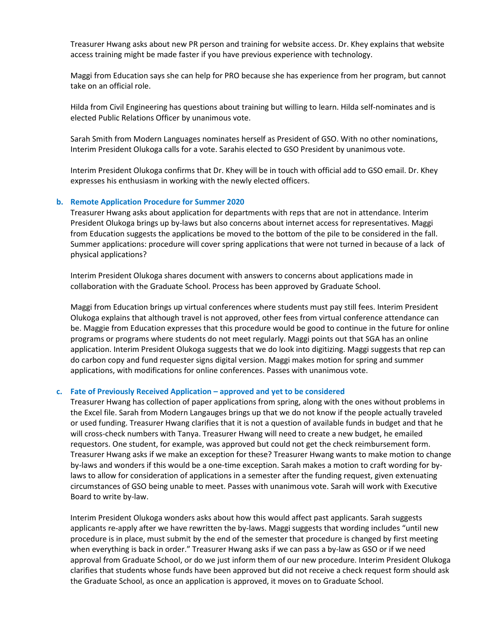Treasurer Hwang asks about new PR person and training for website access. Dr. Khey explains that website access training might be made faster if you have previous experience with technology.

Maggi from Education says she can help for PRO because she has experience from her program, but cannot take on an official role.

Hilda from Civil Engineering has questions about training but willing to learn. Hilda self-nominates and is elected Public Relations Officer by unanimous vote.

Sarah Smith from Modern Languages nominates herself as President of GSO. With no other nominations, Interim President Olukoga calls for a vote. Sarahis elected to GSO President by unanimous vote.

Interim President Olukoga confirms that Dr. Khey will be in touch with official add to GSO email. Dr. Khey expresses his enthusiasm in working with the newly elected officers.

#### **b. Remote Application Procedure for Summer 2020**

Treasurer Hwang asks about application for departments with reps that are not in attendance. Interim President Olukoga brings up by-laws but also concerns about internet access for representatives. Maggi from Education suggests the applications be moved to the bottom of the pile to be considered in the fall. Summer applications: procedure will cover spring applications that were not turned in because of a lack of physical applications?

Interim President Olukoga shares document with answers to concerns about applications made in collaboration with the Graduate School. Process has been approved by Graduate School.

Maggi from Education brings up virtual conferences where students must pay still fees. Interim President Olukoga explains that although travel is not approved, other fees from virtual conference attendance can be. Maggie from Education expresses that this procedure would be good to continue in the future for online programs or programs where students do not meet regularly. Maggi points out that SGA has an online application. Interim President Olukoga suggests that we do look into digitizing. Maggi suggests that rep can do carbon copy and fund requester signs digital version. Maggi makes motion for spring and summer applications, with modifications for online conferences. Passes with unanimous vote.

#### **c. Fate of Previously Received Application – approved and yet to be considered**

Treasurer Hwang has collection of paper applications from spring, along with the ones without problems in the Excel file. Sarah from Modern Langauges brings up that we do not know if the people actually traveled or used funding. Treasurer Hwang clarifies that it is not a question of available funds in budget and that he will cross-check numbers with Tanya. Treasurer Hwang will need to create a new budget, he emailed requestors. One student, for example, was approved but could not get the check reimbursement form. Treasurer Hwang asks if we make an exception for these? Treasurer Hwang wants to make motion to change by-laws and wonders if this would be a one-time exception. Sarah makes a motion to craft wording for bylaws to allow for consideration of applications in a semester after the funding request, given extenuating circumstances of GSO being unable to meet. Passes with unanimous vote. Sarah will work with Executive Board to write by-law.

Interim President Olukoga wonders asks about how this would affect past applicants. Sarah suggests applicants re-apply after we have rewritten the by-laws. Maggi suggests that wording includes "until new procedure is in place, must submit by the end of the semester that procedure is changed by first meeting when everything is back in order." Treasurer Hwang asks if we can pass a by-law as GSO or if we need approval from Graduate School, or do we just inform them of our new procedure. Interim President Olukoga clarifies that students whose funds have been approved but did not receive a check request form should ask the Graduate School, as once an application is approved, it moves on to Graduate School.